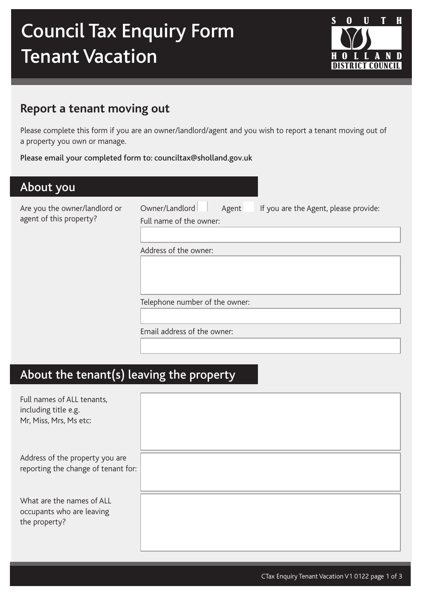# Council Tax Enquiry Form Tenant Vacation



### **Report a tenant moving out**

Please complete this form if you are an owner/landlord/agent and you wish to report a tenant moving out of a property you own or manage.

#### Please email your completed form to: counciltax@sholland.gov.uk

| About you                                                |                                                                                             |
|----------------------------------------------------------|---------------------------------------------------------------------------------------------|
| Are you the owner/landlord or<br>agent of this property? | Owner/Landlord<br>If you are the Agent, please provide:<br>Agent<br>Full name of the owner: |
|                                                          | Address of the owner:                                                                       |
|                                                          | Telephone number of the owner:                                                              |
|                                                          | Email address of the owner:                                                                 |
|                                                          |                                                                                             |

# About the tenant(s) leaving the property

| Full names of ALL tenants,<br>including title e.g.<br>Mr, Miss, Mrs, Ms etc: |  |
|------------------------------------------------------------------------------|--|
| Address of the property you are<br>reporting the change of tenant for:       |  |
| What are the names of ALL<br>occupants who are leaving<br>the property?      |  |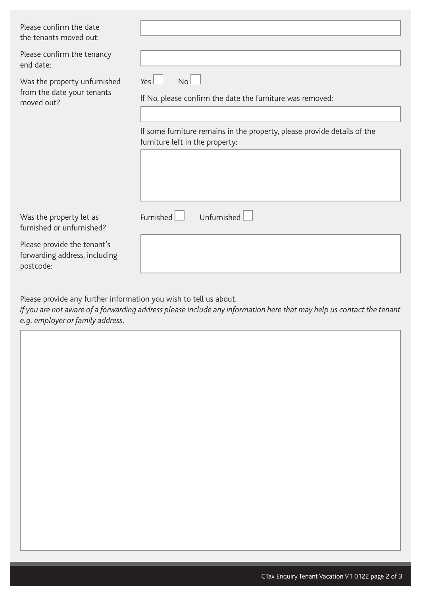| Please confirm the date<br>the tenants moved out:                         |                                                                                                             |
|---------------------------------------------------------------------------|-------------------------------------------------------------------------------------------------------------|
| Please confirm the tenancy<br>end date:                                   |                                                                                                             |
| Was the property unfurnished<br>from the date your tenants<br>moved out?  | No <sub>l</sub><br>Yes<br>If No, please confirm the date the furniture was removed:                         |
|                                                                           | If some furniture remains in the property, please provide details of the<br>furniture left in the property: |
|                                                                           |                                                                                                             |
| Was the property let as<br>furnished or unfurnished?                      | Unfurnished<br>Furnished                                                                                    |
| Please provide the tenant's<br>forwarding address, including<br>postcode: |                                                                                                             |

Please provide any further information you wish to tell us about.

*If you are not aware of a forwarding address please include any information here that may help us contact the tenant e.g. employer or family address.*